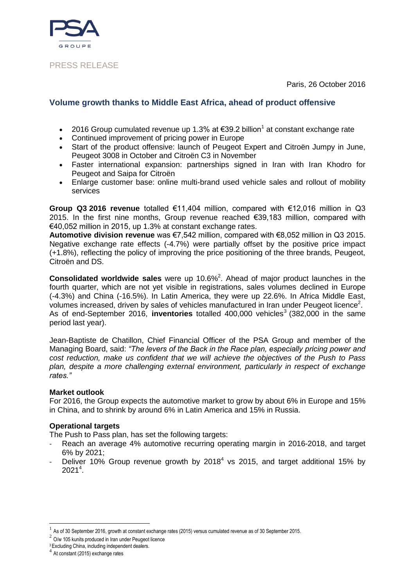Paris, 26 October 2016



## PRESS RELEASE

# **Volume growth thanks to Middle East Africa, ahead of product offensive**

- 2016 Group cumulated revenue up 1.3% at €39.2 billion<sup>1</sup> at constant exchange rate
- Continued improvement of pricing power in Europe
- Start of the product offensive: launch of Peugeot Expert and Citroën Jumpy in June, Peugeot 3008 in October and Citroën C3 in November
- Faster international expansion: partnerships signed in Iran with Iran Khodro for Peugeot and Saipa for Citroën
- Enlarge customer base: online multi-brand used vehicle sales and rollout of mobility services

**Group Q3 2016 revenue** totalled €11,404 million, compared with €12,016 million in Q3 2015. In the first nine months, Group revenue reached €39,183 million, compared with €40,052 million in 2015, up 1.3% at constant exchange rates.

**Automotive division revenue** was €7,542 million, compared with €8,052 million in Q3 2015. Negative exchange rate effects (-4.7%) were partially offset by the positive price impact (+1.8%), reflecting the policy of improving the price positioning of the three brands, Peugeot, Citroën and DS.

**Consolidated worldwide sales** were up 10.6% 2 . Ahead of major product launches in the fourth quarter, which are not yet visible in registrations, sales volumes declined in Europe (-4.3%) and China (-16.5%). In Latin America, they were up 22.6%. In Africa Middle East, volumes increased, driven by sales of vehicles manufactured in Iran under Peugeot licence<sup>2</sup>. As of end-September 2016, **inventories** totalled 400,000 vehicles<sup>3</sup> (382,000 in the same period last year).

Jean-Baptiste de Chatillon, Chief Financial Officer of the PSA Group and member of the Managing Board, said: *"The levers of the Back in the Race plan, especially pricing power and cost reduction, make us confident that we will achieve the objectives of the Push to Pass plan, despite a more challenging external environment, particularly in respect of exchange rates."*

### **Market outlook**

For 2016, the Group expects the automotive market to grow by about 6% in Europe and 15% in China, and to shrink by around 6% in Latin America and 15% in Russia.

### **Operational targets**

The Push to Pass plan, has set the following targets:

- Reach an average 4% automotive recurring operating margin in 2016-2018, and target 6% by 2021;
- Deliver 10% Group revenue growth by 2018<sup>4</sup> vs 2015, and target additional 15% by  $2021<sup>4</sup>$ .

l

<sup>1</sup> As of 30 September 2016, growth at constant exchange rates (2015) versus cumulated revenue as of 30 September 2015.

 $2$  O/w 105 kunits produced in Iran under Peugeot licence

<sup>&</sup>lt;sup>3</sup> Excluding China, including independent dealers.

<sup>4</sup> At constant (2015) exchange rates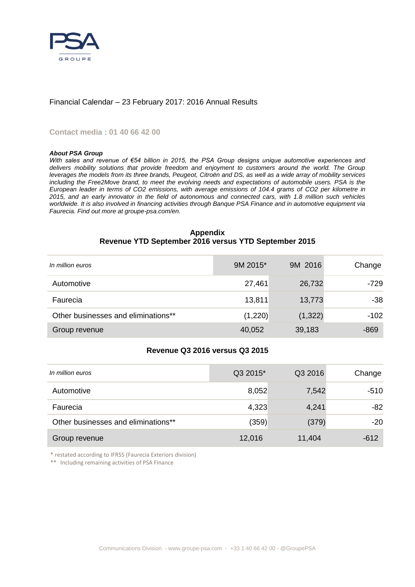

### Financial Calendar – 23 February 2017: 2016 Annual Results

#### **Contact media : 01 40 66 42 00**

#### *About PSA Group*

*With sales and revenue of €54 billion in 2015, the PSA Group designs unique automotive experiences and* delivers mobility solutions that provide freedom and enjoyment to customers around the world. The Group *leverages the models from its three brands, Peugeot, Citroën and DS, as well as a wide array of mobility services including the Free2Move brand, to meet the evolving needs and expectations of automobile users. PSA is the European leader in terms of CO2 emissions, with average emissions of 104.4 grams of CO2 per kilometre in 2015, and an early innovator in the field of autonomous and connected cars, with 1.8 million such vehicles worldwide. It is also involved in financing activities through Banque PSA Finance and in automotive equipment via Faurecia. Find out more at groupe-psa.com/en.*

#### **Appendix Revenue YTD September 2016 versus YTD September 2015**

| In million euros                    | 9M 2015* | 9M 2016  | Change |
|-------------------------------------|----------|----------|--------|
| Automotive                          | 27,461   | 26,732   | -729   |
| Faurecia                            | 13,811   | 13,773   | $-38$  |
| Other businesses and eliminations** | (1,220)  | (1, 322) | $-102$ |
| Group revenue                       | 40,052   | 39,183   | $-869$ |

### **Revenue Q3 2016 versus Q3 2015**

| In million euros                    | Q3 2015* | Q3 2016 | Change |
|-------------------------------------|----------|---------|--------|
| Automotive                          | 8,052    | 7,542   | -510   |
| Faurecia                            | 4,323    | 4,241   | $-82$  |
| Other businesses and eliminations** | (359)    | (379)   | $-20$  |
| Group revenue                       | 12,016   | 11,404  | $-612$ |

\* restated according to IFRS5 (Faurecia Exteriors division)

\*\* Including remaining activities of PSA Finance